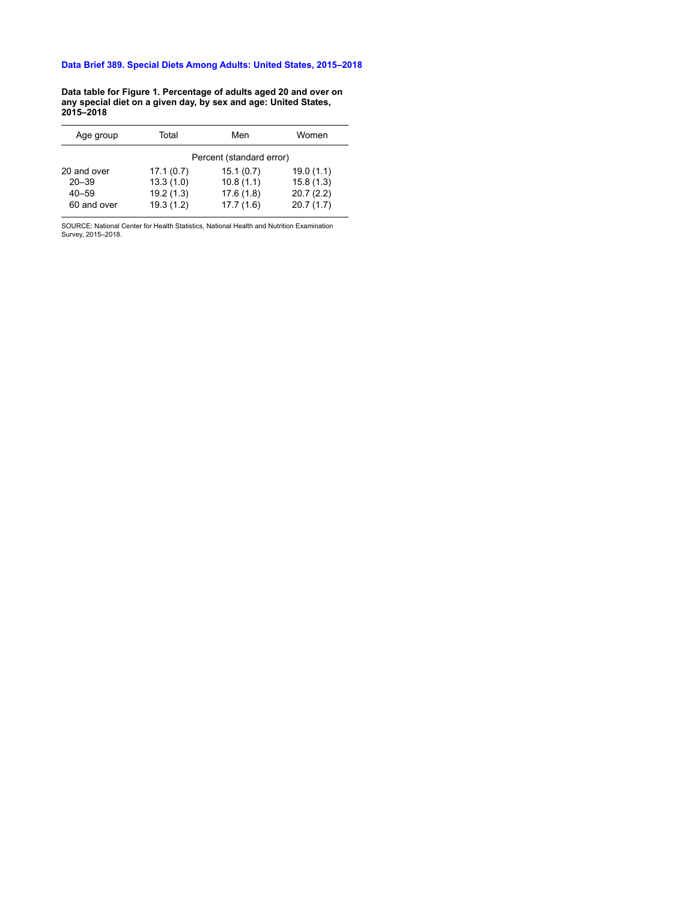**Data table for Figure 1. Percentage of adults aged 20 and over on any special diet on a given day, by sex and age: United States, 2015–2018**

| Age group                | Total                  | Men                      | Women                  |
|--------------------------|------------------------|--------------------------|------------------------|
|                          |                        | Percent (standard error) |                        |
| 20 and over<br>$20 - 39$ | 17.1(0.7)<br>13.3(1.0) | 15.1(0.7)<br>10.8(1.1)   | 19.0(1.1)<br>15.8(1.3) |
| $40 - 59$                | 19.2(1.3)              | 17.6(1.8)                | 20.7(2.2)              |
| 60 and over              | 19.3(1.2)              | 17.7(1.6)                | 20.7(1.7)              |

SOURCE: National Center for Health Statistics, National Health and Nutrition Examination Survey, 2015–2018.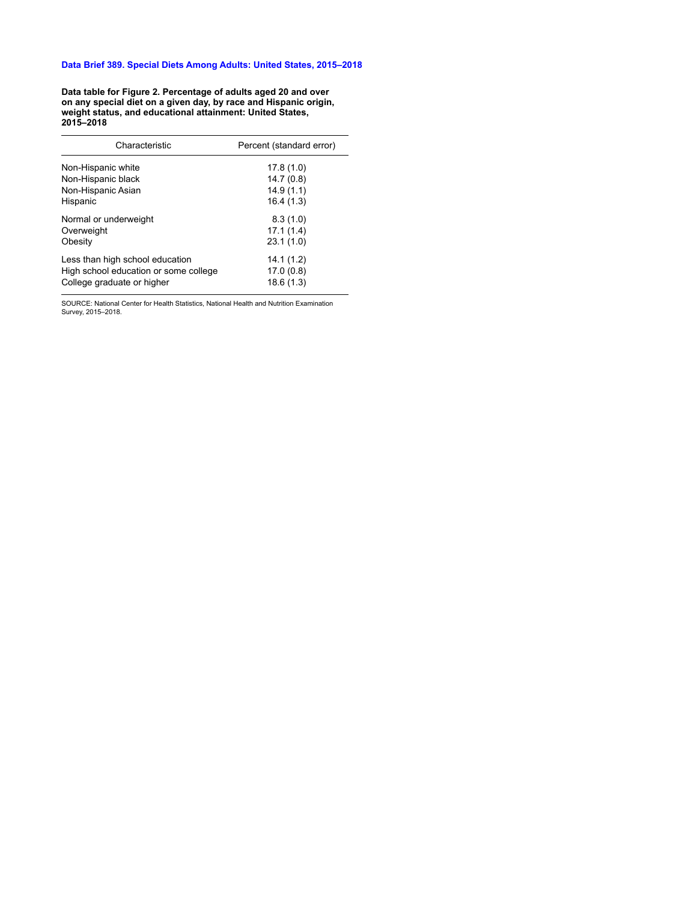**Data table for Figure 2. Percentage of adults aged 20 and over on any special diet on a given day, by race and Hispanic origin, weight status, and educational attainment: United States, 2015–2018**

| Characteristic                        | Percent (standard error) |
|---------------------------------------|--------------------------|
| Non-Hispanic white                    | 17.8(1.0)                |
| Non-Hispanic black                    | 14.7(0.8)                |
| Non-Hispanic Asian                    | 14.9(1.1)                |
| Hispanic                              | 16.4(1.3)                |
| Normal or underweight                 | 8.3(1.0)                 |
| Overweight                            | 17.1(1.4)                |
| Obesity                               | 23.1(1.0)                |
| Less than high school education       | 14.1(1.2)                |
| High school education or some college | 17.0(0.8)                |
| College graduate or higher            | 18.6(1.3)                |
|                                       |                          |

SOURCE: National Center for Health Statistics, National Health and Nutrition Examination Survey, 2015–2018.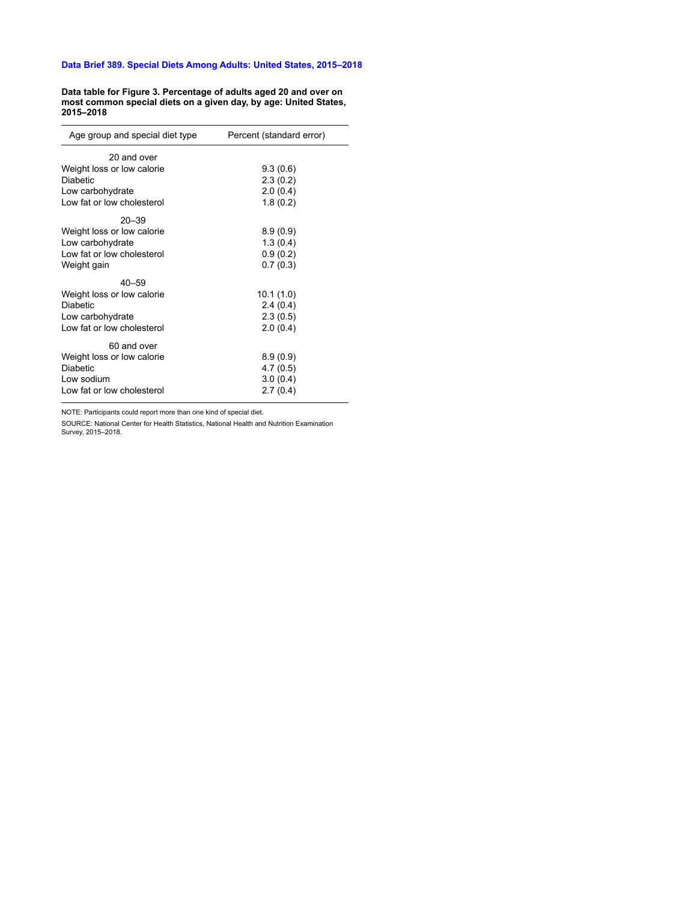**Data table for Figure 3. Percentage of adults aged 20 and over on most common special diets on a given day, by age: United States, 2015–2018**

| Age group and special diet type | Percent (standard error) |  |  |
|---------------------------------|--------------------------|--|--|
| 20 and over                     |                          |  |  |
| Weight loss or low calorie      | 9.3(0.6)                 |  |  |
| <b>Diabetic</b>                 | 2.3(0.2)                 |  |  |
| Low carbohydrate                | 2.0(0.4)                 |  |  |
| Low fat or low cholesterol      | 1.8(0.2)                 |  |  |
| $20 - 39$                       |                          |  |  |
| Weight loss or low calorie      | 8.9(0.9)                 |  |  |
| Low carbohydrate                | 1.3(0.4)                 |  |  |
| Low fat or low cholesterol      | 0.9(0.2)                 |  |  |
| Weight gain                     | 0.7(0.3)                 |  |  |
| $40 - 59$                       |                          |  |  |
| Weight loss or low calorie      | 10.1 (1.0)               |  |  |
| <b>Diabetic</b>                 | 2.4(0.4)                 |  |  |
| Low carbohydrate                | 2.3(0.5)                 |  |  |
| Low fat or low cholesterol      | 2.0(0.4)                 |  |  |
| 60 and over                     |                          |  |  |
| Weight loss or low calorie      | 8.9(0.9)                 |  |  |
| <b>Diabetic</b>                 | 4.7(0.5)                 |  |  |
| Low sodium                      | 3.0(0.4)                 |  |  |
| Low fat or low cholesterol      | 2.7(0.4)                 |  |  |

NOTE: Participants could report more than one kind of special diet.

SOURCE: National Center for Health Statistics, National Health and Nutrition Examination Survey, 2015–2018.